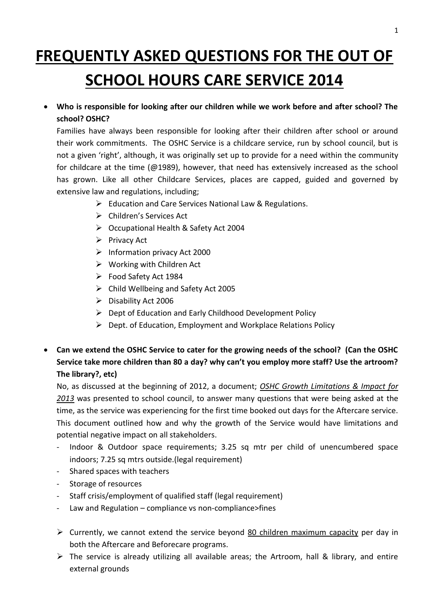# **FREQUENTLY ASKED QUESTIONS FOR THE OUT OF SCHOOL HOURS CARE SERVICE 2014**

 **Who is responsible for looking after our children while we work before and after school? The school? OSHC?**

Families have always been responsible for looking after their children after school or around their work commitments. The OSHC Service is a childcare service, run by school council, but is not a given 'right', although, it was originally set up to provide for a need within the community for childcare at the time (@1989), however, that need has extensively increased as the school has grown. Like all other Childcare Services, places are capped, guided and governed by extensive law and regulations, including;

- $\triangleright$  Education and Care Services National Law & Regulations.
- Children's Services Act
- Occupational Health & Safety Act 2004
- $\triangleright$  Privacy Act
- $\triangleright$  Information privacy Act 2000
- $\triangleright$  Working with Children Act
- Food Safety Act 1984
- $\triangleright$  Child Wellbeing and Safety Act 2005
- $\triangleright$  Disability Act 2006
- $\triangleright$  Dept of Education and Early Childhood Development Policy
- $\triangleright$  Dept. of Education, Employment and Workplace Relations Policy
- **Can we extend the OSHC Service to cater for the growing needs of the school? (Can the OSHC Service take more children than 80 a day? why can't you employ more staff? Use the artroom? The library?, etc)**

No, as discussed at the beginning of 2012, a document; *OSHC Growth Limitations & Impact for 2013* was presented to school council, to answer many questions that were being asked at the time, as the service was experiencing for the first time booked out days for the Aftercare service. This document outlined how and why the growth of the Service would have limitations and potential negative impact on all stakeholders.

- Indoor & Outdoor space requirements; 3.25 sq mtr per child of unencumbered space indoors; 7.25 sq mtrs outside.(legal requirement)
- Shared spaces with teachers
- Storage of resources
- Staff crisis/employment of qualified staff (legal requirement)
- Law and Regulation compliance vs non-compliance>fines
- $\triangleright$  Currently, we cannot extend the service beyond 80 children maximum capacity per day in both the Aftercare and Beforecare programs.
- $\triangleright$  The service is already utilizing all available areas; the Artroom, hall & library, and entire external grounds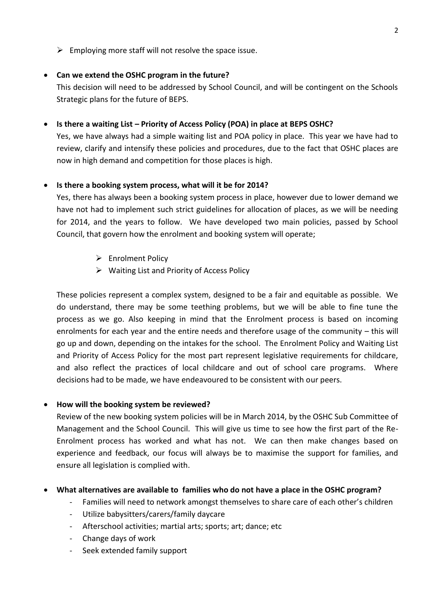$\triangleright$  Employing more staff will not resolve the space issue.

## **Can we extend the OSHC program in the future?**

This decision will need to be addressed by School Council, and will be contingent on the Schools Strategic plans for the future of BEPS.

## **•** Is there a waiting List – Priority of Access Policy (POA) in place at BEPS OSHC?

Yes, we have always had a simple waiting list and POA policy in place. This year we have had to review, clarify and intensify these policies and procedures, due to the fact that OSHC places are now in high demand and competition for those places is high.

## **Is there a booking system process, what will it be for 2014?**

Yes, there has always been a booking system process in place, however due to lower demand we have not had to implement such strict guidelines for allocation of places, as we will be needing for 2014, and the years to follow. We have developed two main policies, passed by School Council, that govern how the enrolment and booking system will operate;

- **►** Enrolment Policy
- $\triangleright$  Waiting List and Priority of Access Policy

These policies represent a complex system, designed to be a fair and equitable as possible. We do understand, there may be some teething problems, but we will be able to fine tune the process as we go. Also keeping in mind that the Enrolment process is based on incoming enrolments for each year and the entire needs and therefore usage of the community – this will go up and down, depending on the intakes for the school. The Enrolment Policy and Waiting List and Priority of Access Policy for the most part represent legislative requirements for childcare, and also reflect the practices of local childcare and out of school care programs. Where decisions had to be made, we have endeavoured to be consistent with our peers.

# **How will the booking system be reviewed?**

Review of the new booking system policies will be in March 2014, by the OSHC Sub Committee of Management and the School Council. This will give us time to see how the first part of the Re-Enrolment process has worked and what has not. We can then make changes based on experience and feedback, our focus will always be to maximise the support for families, and ensure all legislation is complied with.

# **What alternatives are available to families who do not have a place in the OSHC program?**

- Families will need to network amongst themselves to share care of each other's children
- Utilize babysitters/carers/family daycare
- Afterschool activities; martial arts; sports; art; dance; etc
- Change days of work
- Seek extended family support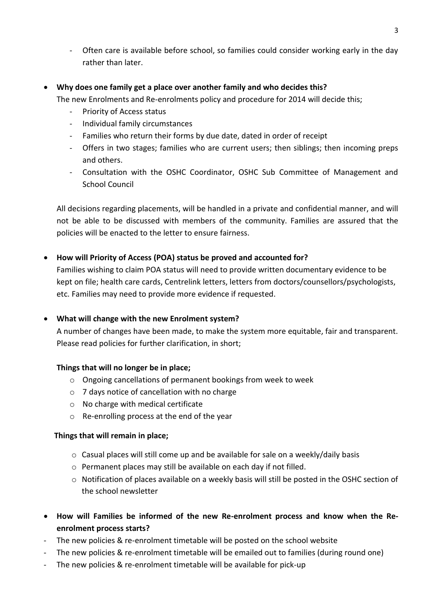- Often care is available before school, so families could consider working early in the day rather than later.

#### **Why does one family get a place over another family and who decides this?**

- The new Enrolments and Re-enrolments policy and procedure for 2014 will decide this;
	- Priority of Access status
	- Individual family circumstances
	- Families who return their forms by due date, dated in order of receipt
	- Offers in two stages; families who are current users; then siblings; then incoming preps and others.
	- Consultation with the OSHC Coordinator, OSHC Sub Committee of Management and School Council

All decisions regarding placements, will be handled in a private and confidential manner, and will not be able to be discussed with members of the community. Families are assured that the policies will be enacted to the letter to ensure fairness.

#### **How will Priority of Access (POA) status be proved and accounted for?**

Families wishing to claim POA status will need to provide written documentary evidence to be kept on file; health care cards, Centrelink letters, letters from doctors/counsellors/psychologists, etc. Families may need to provide more evidence if requested.

#### **What will change with the new Enrolment system?**

A number of changes have been made, to make the system more equitable, fair and transparent. Please read policies for further clarification, in short;

#### **Things that will no longer be in place;**

- o Ongoing cancellations of permanent bookings from week to week
- o 7 days notice of cancellation with no charge
- o No charge with medical certificate
- o Re-enrolling process at the end of the year

#### **Things that will remain in place;**

- $\circ$  Casual places will still come up and be available for sale on a weekly/daily basis
- o Permanent places may still be available on each day if not filled.
- $\circ$  Notification of places available on a weekly basis will still be posted in the OSHC section of the school newsletter
- **How will Families be informed of the new Re-enrolment process and know when the Reenrolment process starts?**
- The new policies & re-enrolment timetable will be posted on the school website
- The new policies & re-enrolment timetable will be emailed out to families (during round one)
- The new policies & re-enrolment timetable will be available for pick-up